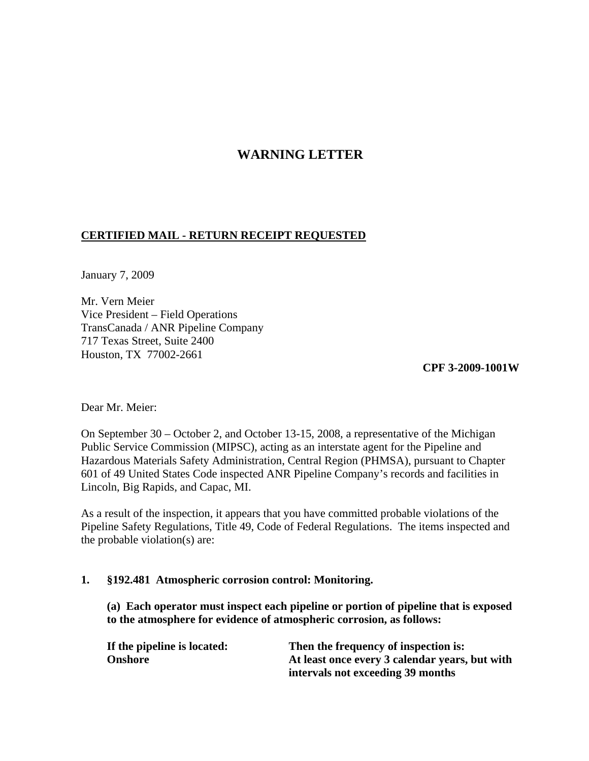# **WARNING LETTER**

### **CERTIFIED MAIL - RETURN RECEIPT REQUESTED**

January 7, 2009

Mr. Vern Meier Vice President – Field Operations TransCanada / ANR Pipeline Company 717 Texas Street, Suite 2400 Houston, TX 77002-2661

**CPF 3-2009-1001W** 

Dear Mr. Meier:

On September 30 – October 2, and October 13-15, 2008, a representative of the Michigan Public Service Commission (MIPSC), acting as an interstate agent for the Pipeline and Hazardous Materials Safety Administration, Central Region (PHMSA), pursuant to Chapter 601 of 49 United States Code inspected ANR Pipeline Company's records and facilities in Lincoln, Big Rapids, and Capac, MI.

As a result of the inspection, it appears that you have committed probable violations of the Pipeline Safety Regulations, Title 49, Code of Federal Regulations. The items inspected and the probable violation(s) are:

### **1. §192.481 Atmospheric corrosion control: Monitoring.**

**(a) Each operator must inspect each pipeline or portion of pipeline that is exposed to the atmosphere for evidence of atmospheric corrosion, as follows:** 

| If the pipeline is located: | Then the frequency of inspection is:           |
|-----------------------------|------------------------------------------------|
| <b>Onshore</b>              | At least once every 3 calendar years, but with |
|                             | intervals not exceeding 39 months              |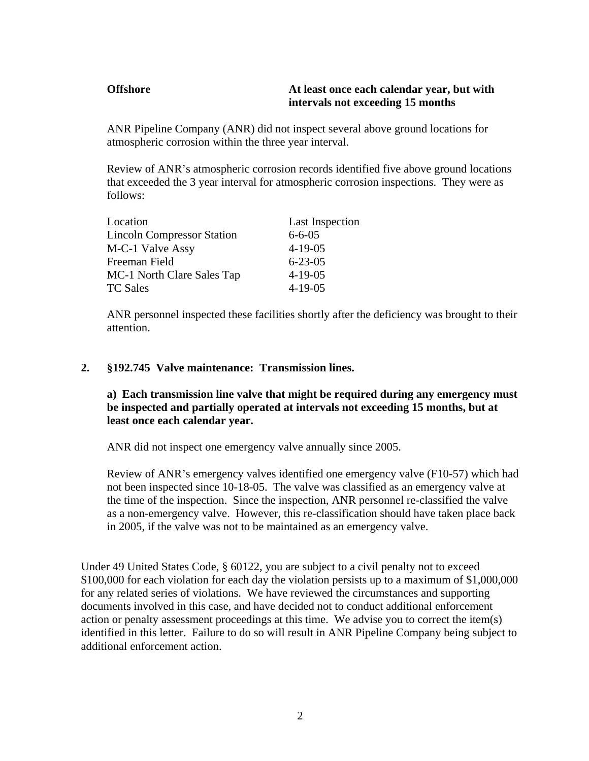### **Offshore At least once each calendar year, but with intervals not exceeding 15 months**

ANR Pipeline Company (ANR) did not inspect several above ground locations for atmospheric corrosion within the three year interval.

Review of ANR's atmospheric corrosion records identified five above ground locations that exceeded the 3 year interval for atmospheric corrosion inspections. They were as follows:

| Location                          | Last Inspection |
|-----------------------------------|-----------------|
| <b>Lincoln Compressor Station</b> | $6 - 6 - 05$    |
| M-C-1 Valve Assy                  | $4 - 19 - 05$   |
| Freeman Field                     | $6 - 23 - 05$   |
| MC-1 North Clare Sales Tap        | $4 - 19 - 05$   |
| <b>TC Sales</b>                   | $4 - 19 - 05$   |

ANR personnel inspected these facilities shortly after the deficiency was brought to their attention.

### **2. §192.745 Valve maintenance: Transmission lines.**

## **a) Each transmission line valve that might be required during any emergency must be inspected and partially operated at intervals not exceeding 15 months, but at least once each calendar year.**

ANR did not inspect one emergency valve annually since 2005.

Review of ANR's emergency valves identified one emergency valve (F10-57) which had not been inspected since 10-18-05. The valve was classified as an emergency valve at the time of the inspection. Since the inspection, ANR personnel re-classified the valve as a non-emergency valve. However, this re-classification should have taken place back in 2005, if the valve was not to be maintained as an emergency valve.

Under 49 United States Code, § 60122, you are subject to a civil penalty not to exceed \$100,000 for each violation for each day the violation persists up to a maximum of \$1,000,000 for any related series of violations. We have reviewed the circumstances and supporting documents involved in this case, and have decided not to conduct additional enforcement action or penalty assessment proceedings at this time. We advise you to correct the item(s) identified in this letter. Failure to do so will result in ANR Pipeline Company being subject to additional enforcement action.